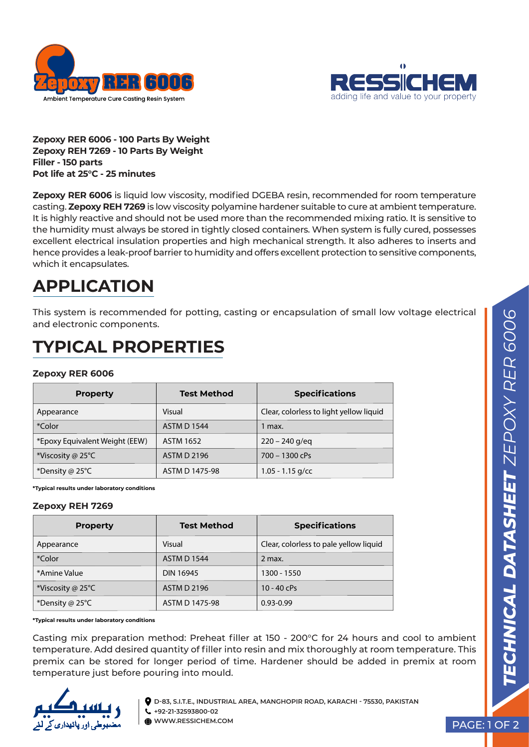



**Zepoxy RER 6006 - 100 Parts By Weight Zepoxy REH 7269 - 10 Parts By Weight Filler - 150 parts Pot life at 25°C - 25 minutes**

**Zepoxy RER 6006** is liquid low viscosity, modified DGEBA resin, recommended for room temperature casting. **Zepoxy REH 7269** is low viscosity polyamine hardener suitable to cure at ambient temperature. It is highly reactive and should not be used more than the recommended mixing ratio. It is sensitive to the humidity must always be stored in tightly closed containers. When system is fully cured, possesses excellent electrical insulation properties and high mechanical strength. It also adheres to inserts and hence provides a leak-proof barrier to humidity and offers excellent protection to sensitive components, which it encapsulates.

# **APPLICATION**

This system is recommended for potting, casting or encapsulation of small low voltage electrical and electronic components.

## **TYPICAL PROPERTIES**

#### **Zepoxy RER 6006**

| <b>Property</b>                | <b>Test Method</b> | <b>Specifications</b>                   |
|--------------------------------|--------------------|-----------------------------------------|
| Appearance                     | Visual             | Clear, colorless to light yellow liquid |
| *Color                         | <b>ASTM D 1544</b> | l max.                                  |
| *Epoxy Equivalent Weight (EEW) | <b>ASTM 1652</b>   | $220 - 240$ g/eg                        |
| *Viscosity @ 25 $\degree$ C    | <b>ASTM D 2196</b> | 700 - 1300 cPs                          |
| *Density @ 25 $\degree$ C      | ASTM D 1475-98     | $1.05 - 1.15$ g/cc                      |

**\*Typical results under laboratory conditions**

#### **Zepoxy REH 7269**

| <b>Property</b>             | <b>Test Method</b> | <b>Specifications</b>                  |
|-----------------------------|--------------------|----------------------------------------|
| Appearance                  | Visual             | Clear, colorless to pale yellow liquid |
| *Color                      | <b>ASTM D 1544</b> | 2 max.                                 |
| *Amine Value                | <b>DIN 16945</b>   | 1300 - 1550                            |
| *Viscosity @ 25 $\degree$ C | <b>ASTM D 2196</b> | $10 - 40$ cPs                          |
| *Density @ 25 $\degree$ C   | ASTM D 1475-98     | $0.93 - 0.99$                          |

**\*Typical results under laboratory conditions**

Casting mix preparation method: Preheat filler at 150 - 200°C for 24 hours and cool to ambient temperature. Add desired quantity of filler into resin and mix thoroughly at room temperature. This premix can be stored for longer period of time. Hardener should be added in premix at room temperature just before pouring into mould.